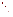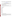# **Consumer Factsheet on: TETRACHLOROETHYLENE**

# [List of Contaminants](http://www.epa.gov/safewater/hfacts.html)

 As part of the Drinking Water and Health pages, this fact sheet is part of a larger publication: **National Primary Drinking Water Regulations** 

 States Environmental Protection Agency (EPA). This is a factsheet about a chemical that may be found in some public or private drinking water supplies. It may cause health problems if found in amounts greater than the health standard set by the United

## **What is Tetrachloroethylene and how is it used?**

Tetrachloroethylene (PCE) is a colorless organic liquid with a mild, chloroform-like odor. Its greatest use is in the textile industry, and as a component of aerosol dry-cleaning products.

 The list of trade names given below may help you find out whether you are using this chemical at home or work.

## **Trade Names and Synonyms:**

 Antisal 1 Ethylene tetrachloride Perchloroethylene PCE Ankilostin Didakene Fedal-un Nema Perclene Persec **Tetlen** Tetracap **Tetraleno Tetropil** Dow-per **Perawin Perchlor** Percosolv Perk Perklone **Tetraguer Tetralex Tetravec** 

# **Why is Tetrachloroethylene being Regulated?**

 based solely on possible health risks and exposure, are called Maximum Contaminant Level Goals. In 1974, Congress passed the Safe Drinking Water Act. This law requires EPA to determine safe levels of chemicals in drinking water which do or may cause health problems. These non-enforceable levels,

The MCLG for PCE has been set at zero because EPA believes this level of protection would not cause any of the potential health problems described below.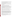Based on this MCLG, EPA has set an enforceable standard called a Maximum Contaminant Level (MCL). MCLs are set as close to the MCLGs as possible, considering the ability of public water systems to detect and remove contaminants using suitable treatment technologies.

 contaminant should it occur in drinking water. The MCL has been set at 5 parts per billion (ppb) because EPA believes, given present technology and resources, this is the lowest level to which water systems can reasonably be required to remove this

These drinking water standards and the regulations for ensuring these standards are met, are called National Primary Drinking Water Regulations. All public water supplies must abide by these regulations.

# **What are the Health Effects?**

Some people who drink water containing tetrachloroethylene in excess of the MCL over many years could have problems with their liver and may have an increased risk of getting cancer.

#### **How much Tetrachloroethylene is produced and released to the environment?**

Production of tetrachloroethylene was 405 million lbs in 1986. Major releases of tetrachloroethylene to air and water are from dry cleaning and industrial metal cleaning or finishing. Water pollution can occur from tetrachloroethylene leaching from vinyl liners in some types of pipelines used for water distribution, and during chlorination water treatment.

From 1987 to 1993, according to EPA's Toxic Chemical Release Inventory, tetrachloroethylene releases to land and water totalled over 1 million lbs. These releases were primarily from alkali and chlorine industries which use it to make other chemicals. The largest releases occurred in Louisiana and South Carolina.

#### **What happens to Tetrachloroethylene when it is released to the environment?**

 PCE released to soil will readily evaporate or may leach slowly to the groundwater. Its break down by soil microbes is slow. PCE released to water will primarily evaporate and has little potential for accumulating in aquatic life.

#### **How will Tetrachloroethylene be Detected in and Removed from My Drinking Water?**

 your water supplier to collect water samples every 3 months for one year and analyze them to find out if The regulation for tetrachloroethylene became effective in 1992. Between 1993 and 1995, EPA required PCE is present above 0.5 ppb. If it is present above this level, the system must continue to monitor this contaminant until the system has taken immediate steps to remediate the problem or the State has determined that the contaminant will remain reliably and consistently below the MCL.

If contaminant levels are found to be consistently above the MCL, your water supplier must take steps to reduce the amount of PCE so that it is consistently below that level. The following treatment methods have been approved by EPA for removing PCE: Granular activated carbon in combination with Packed Tower Aeration.

## **How will I know if Tetrachloroethylene is in my drinking water?**

 required to prevent serious risks to public health. If the levels of PCE exceed the MCL, 5 ppb, the system must notify the public via newspapers, radio, TV and other means. Additional actions, such as providing alternative drinking water supplies, may be